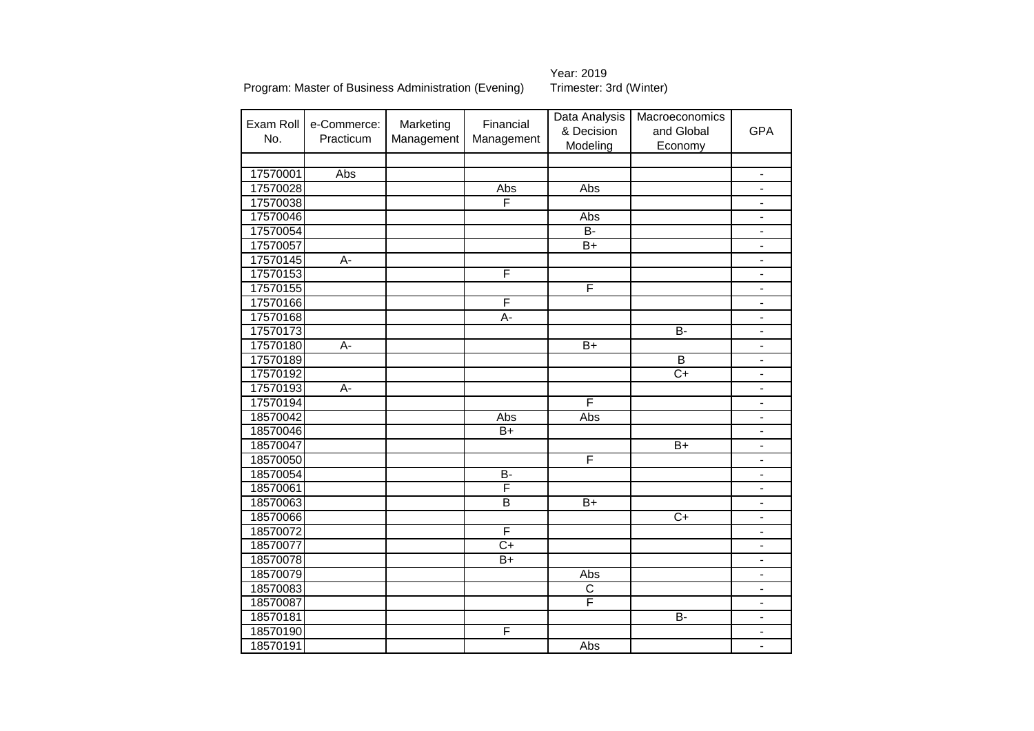Year: 2019<br>Trimester: 3rd (Winter)

|           |                |            |                 | Data Analysis   | Macroeconomics  |                              |
|-----------|----------------|------------|-----------------|-----------------|-----------------|------------------------------|
| Exam Roll | e-Commerce:    | Marketing  | Financial       | & Decision      | and Global      | <b>GPA</b>                   |
| No.       | Practicum      | Management | Management      | Modeling        | Economy         |                              |
|           |                |            |                 |                 |                 |                              |
| 17570001  | Abs            |            |                 |                 |                 | $\blacksquare$               |
| 17570028  |                |            | Abs             | Abs             |                 |                              |
| 17570038  |                |            | F               |                 |                 |                              |
| 17570046  |                |            |                 | Abs             |                 | $\qquad \qquad \blacksquare$ |
| 17570054  |                |            |                 | $\overline{B}$  |                 |                              |
| 17570057  |                |            |                 | B+              |                 | $\qquad \qquad \blacksquare$ |
| 17570145  | A-             |            |                 |                 |                 |                              |
| 17570153  |                |            | F               |                 |                 | $\qquad \qquad \blacksquare$ |
| 17570155  |                |            |                 | F               |                 | $\overline{a}$               |
| 17570166  |                |            | F               |                 |                 | $\blacksquare$               |
| 17570168  |                |            | A-              |                 |                 | $\overline{a}$               |
| 17570173  |                |            |                 |                 | $\overline{B}$  | $\overline{\phantom{a}}$     |
| 17570180  | $\overline{A}$ |            |                 | $\overline{B+}$ |                 | $\overline{\phantom{a}}$     |
| 17570189  |                |            |                 |                 | $\overline{B}$  | $\qquad \qquad \blacksquare$ |
| 17570192  |                |            |                 |                 | $\overline{C+}$ | $\overline{\phantom{a}}$     |
| 17570193  | $\overline{A}$ |            |                 |                 |                 | $\qquad \qquad \blacksquare$ |
| 17570194  |                |            |                 | F               |                 | $\frac{1}{2}$                |
| 18570042  |                |            | Abs             | Abs             |                 | $\qquad \qquad \blacksquare$ |
| 18570046  |                |            | $\overline{B+}$ |                 |                 | $\frac{1}{2}$                |
| 18570047  |                |            |                 |                 | $B+$            | $\overline{\phantom{a}}$     |
| 18570050  |                |            |                 | F               |                 | $\qquad \qquad \blacksquare$ |
| 18570054  |                |            | $\overline{B}$  |                 |                 | $\overline{\phantom{a}}$     |
| 18570061  |                |            | F               |                 |                 | $\overline{\phantom{a}}$     |
| 18570063  |                |            | $\overline{B}$  | $B+$            |                 | $\blacksquare$               |
| 18570066  |                |            |                 |                 | $C+$            | $\blacksquare$               |
| 18570072  |                |            | F               |                 |                 | $\blacksquare$               |
| 18570077  |                |            | $\overline{C+}$ |                 |                 | $\frac{1}{2}$                |
| 18570078  |                |            | $\overline{B+}$ |                 |                 | $\frac{1}{2}$                |
| 18570079  |                |            |                 | <b>Abs</b>      |                 | $\overline{\phantom{a}}$     |
| 18570083  |                |            |                 | C               |                 | $\overline{\phantom{a}}$     |
| 18570087  |                |            |                 | F               |                 | $\overline{\phantom{a}}$     |
| 18570181  |                |            |                 |                 | <b>B-</b>       | $\frac{1}{2}$                |
| 18570190  |                |            | F               |                 |                 | $\frac{1}{2}$                |
| 18570191  |                |            |                 | Abs             |                 | $\frac{1}{2}$                |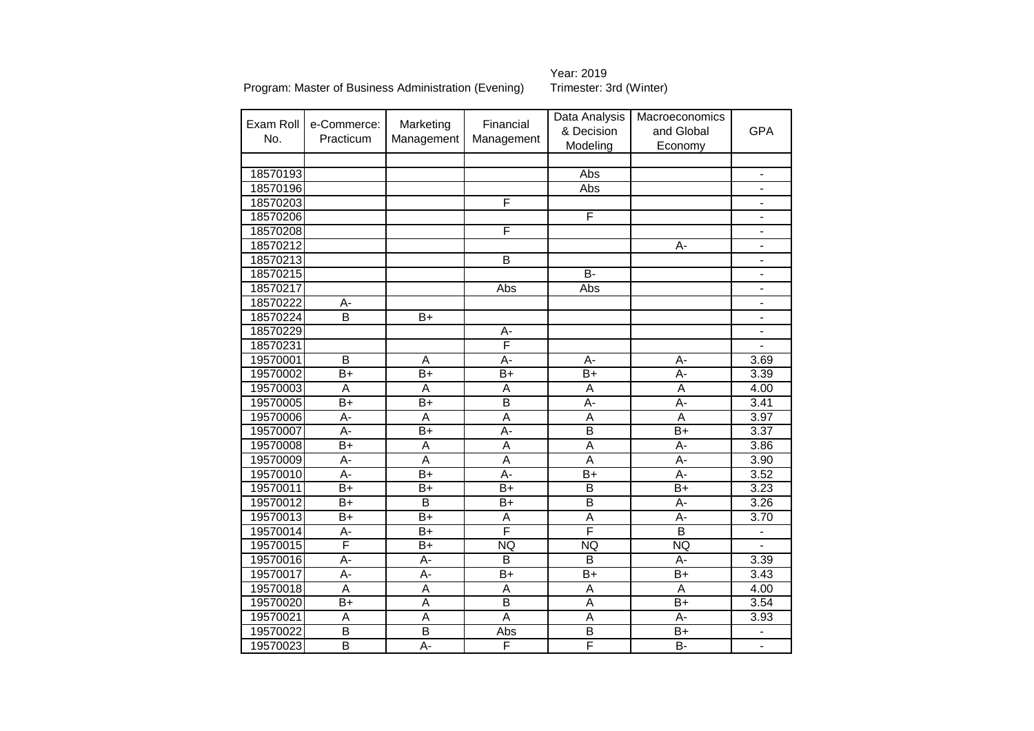# Year: 2019<br>Trimester: 3rd (Winter)

| Exam Roll |                          |                         | Financial               | Data Analysis           | Macroeconomics          |                          |
|-----------|--------------------------|-------------------------|-------------------------|-------------------------|-------------------------|--------------------------|
| No.       | e-Commerce:<br>Practicum | Marketing               |                         | & Decision              | and Global              | <b>GPA</b>               |
|           |                          | Management              | Management              | Modeling                | Economy                 |                          |
|           |                          |                         |                         |                         |                         |                          |
| 18570193  |                          |                         |                         | Abs                     |                         | $\overline{\phantom{0}}$ |
| 18570196  |                          |                         |                         | Abs                     |                         | $\overline{\phantom{0}}$ |
| 18570203  |                          |                         | F                       |                         |                         |                          |
| 18570206  |                          |                         |                         | F                       |                         | -                        |
| 18570208  |                          |                         | F                       |                         |                         | $\overline{\phantom{0}}$ |
| 18570212  |                          |                         |                         |                         | A-                      | $\frac{1}{2}$            |
| 18570213  |                          |                         | B                       |                         |                         | $\frac{1}{2}$            |
| 18570215  |                          |                         |                         | $\overline{B}$          |                         | $\overline{a}$           |
| 18570217  |                          |                         | Abs                     | Abs                     |                         | $\overline{a}$           |
| 18570222  | $A -$                    |                         |                         |                         |                         | $\overline{\phantom{a}}$ |
| 18570224  | $\overline{\mathsf{B}}$  | $\overline{B+}$         |                         |                         |                         | $\overline{\phantom{0}}$ |
| 18570229  |                          |                         | А-                      |                         |                         | $\overline{\phantom{0}}$ |
| 18570231  |                          |                         | F                       |                         |                         | $\overline{a}$           |
| 19570001  | B                        | A                       | A-                      | $A -$                   | $A-$                    | 3.69                     |
| 19570002  | $\overline{B+}$          | $\overline{B+}$         | $\overline{B+}$         | $\overline{B+}$         | Ā-                      | 3.39                     |
| 19570003  | A                        | A                       | A                       | A                       | A                       | 4.00                     |
| 19570005  | $B+$                     | $B+$                    | $\overline{B}$          | $A -$                   | $A-$                    | 3.41                     |
| 19570006  | A-                       | A                       | Ā                       | $\overline{A}$          | $\overline{A}$          | 3.97                     |
| 19570007  | $\overline{A}$ -         | $\overline{B+}$         | A-                      | $\overline{\mathsf{B}}$ | $B+$                    | 3.37                     |
| 19570008  | $\overline{B+}$          | $\overline{A}$          | $\overline{A}$          | $\overline{\mathsf{A}}$ | $\overline{A}$ -        | 3.86                     |
| 19570009  | $\overline{A}$ -         | $\overline{A}$          | $\overline{A}$          | $\overline{\mathsf{A}}$ | $\overline{A}$ -        | 3.90                     |
| 19570010  | A-                       | $B+$                    | $\overline{A}$ -        | $B+$                    | $\overline{A}$ -        | 3.52                     |
| 19570011  | $\overline{B+}$          | $B+$                    | $\overline{B+}$         | $\overline{\mathsf{B}}$ | $\overline{B+}$         | 3.23                     |
| 19570012  | $B+$                     | B                       | $\overline{B+}$         | $\overline{B}$          | A-                      | 3.26                     |
| 19570013  | $\overline{B+}$          | $\overline{B+}$         | A                       | $\overline{A}$          | $\overline{A}$ -        | 3.70                     |
| 19570014  | $\overline{A}$ -         | $\overline{B+}$         | F                       | F                       | $\overline{\mathsf{B}}$ | $\overline{\phantom{0}}$ |
| 19570015  | F                        | $B+$                    | <b>NQ</b>               | <b>NQ</b>               | NQ                      |                          |
| 19570016  | $\overline{A}$           | $\overline{A}$ -        | B                       | $\overline{\mathsf{B}}$ | $\overline{A}$          | 3.39                     |
| 19570017  | $\overline{A}$           | A-                      | $B+$                    | $B+$                    | $\overline{B+}$         | 3.43                     |
| 19570018  | $\overline{\mathsf{A}}$  | $\overline{A}$          | $\overline{A}$          | $\overline{A}$          | $\overline{A}$          | 4.00                     |
| 19570020  | $\overline{B+}$          | $\overline{\mathsf{A}}$ | $\overline{\mathsf{B}}$ | $\overline{A}$          | $B+$                    | 3.54                     |
| 19570021  | A                        | $\overline{A}$          | A                       | A                       | А-                      | 3.93                     |
| 19570022  | $\overline{\mathsf{B}}$  | $\overline{\mathsf{B}}$ | Abs                     | $\overline{\mathsf{B}}$ | $\overline{B+}$         |                          |
| 19570023  | $\overline{\mathsf{B}}$  | A-                      | F                       | F                       | B-                      | $\overline{\phantom{0}}$ |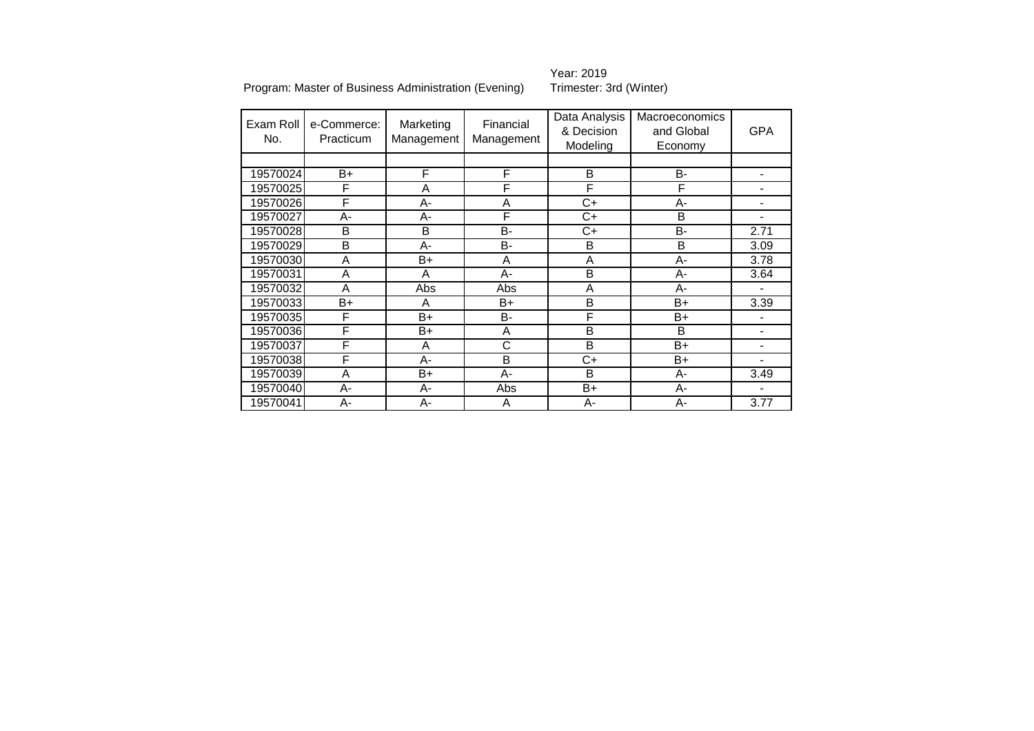Year: 2019<br>Trimester: 3rd (Winter)

| Exam Roll<br>No. | e-Commerce:<br>Practicum | Marketing<br>Management | Financial<br>Management | Data Analysis<br>& Decision<br>Modeling | <b>Macroeconomics</b><br>and Global<br>Economy | <b>GPA</b>                   |
|------------------|--------------------------|-------------------------|-------------------------|-----------------------------------------|------------------------------------------------|------------------------------|
|                  |                          |                         |                         |                                         |                                                |                              |
| 19570024         | B+                       | F                       | F                       | B                                       | B-                                             | $\qquad \qquad \blacksquare$ |
| 19570025         | F                        | A                       | F                       | F                                       | F                                              |                              |
| 19570026         | F                        | А-                      | A                       | C+                                      | $A-$                                           |                              |
| 19570027         | А-                       | А-                      | F                       | $C+$                                    | B                                              |                              |
| 19570028         | B                        | B                       | <b>B-</b>               | C+                                      | <b>B-</b>                                      | 2.71                         |
| 19570029         | B                        | А-                      | <b>B-</b>               | B                                       | B                                              | 3.09                         |
| 19570030         | A                        | B+                      | A                       | A                                       | $A-$                                           | 3.78                         |
| 19570031         | A                        | A                       | $A -$                   | B                                       | $A-$                                           | 3.64                         |
| 19570032         | A                        | Abs                     | Abs                     | A                                       | $A-$                                           |                              |
| 19570033         | $B+$                     | A                       | B+                      | B                                       | $B+$                                           | 3.39                         |
| 19570035         | F                        | $B+$                    | <b>B-</b>               | F                                       | $B+$                                           |                              |
| 19570036         | F                        | B+                      | A                       | B                                       | B                                              |                              |
| 19570037         | F                        | A                       | $\overline{\text{c}}$   | B                                       | $B+$                                           |                              |
| 19570038         | F                        | А-                      | B                       | C+                                      | B+                                             |                              |
| 19570039         | A                        | B+                      | $A -$                   | B                                       | A-                                             | 3.49                         |
| 19570040         | А-                       | А-                      | Abs                     | B+                                      | A-                                             |                              |
| 19570041         | A-                       | А-                      | A                       | $A-$                                    | $A-$                                           | 3.77                         |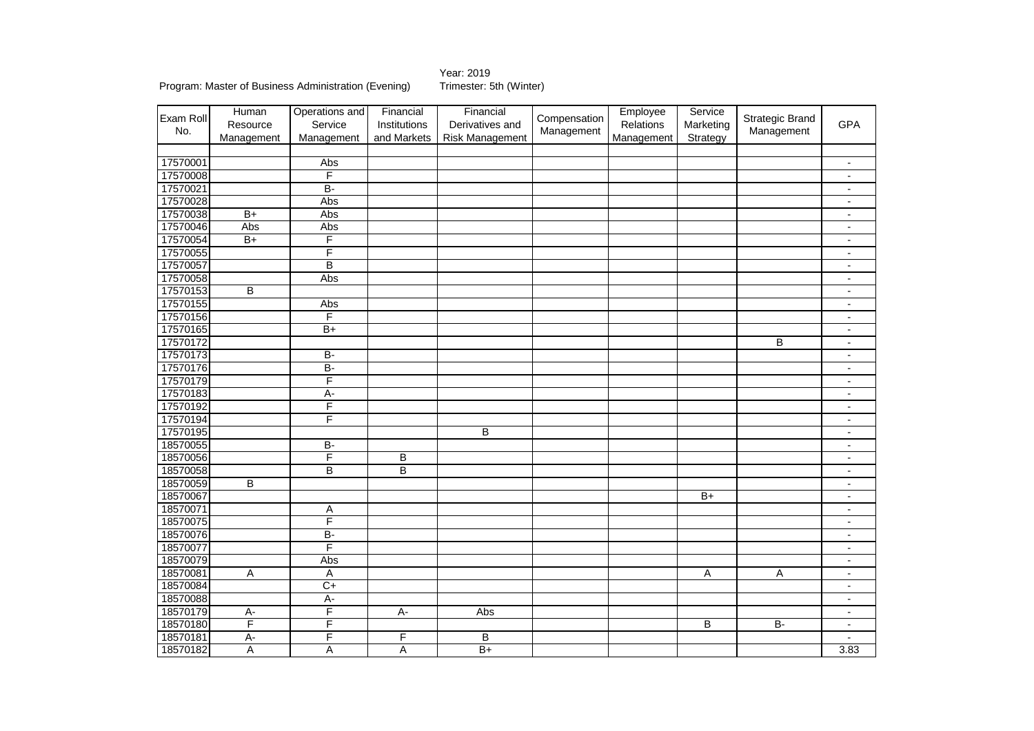Year: 2019<br>Trimester: 5th (Winter)

Program: Master of Business Administration (Evening)

| Exam Roll | Human<br>Resource | Operations and<br>Service | Financial<br>Institutions | Financial<br>Derivatives and | Compensation | Employee<br>Relations | Service<br>Marketing | <b>Strategic Brand</b> | <b>GPA</b>               |
|-----------|-------------------|---------------------------|---------------------------|------------------------------|--------------|-----------------------|----------------------|------------------------|--------------------------|
| No.       | Management        | Management                | and Markets               | Risk Management              | Management   | Management            | Strategy             | Management             |                          |
|           |                   |                           |                           |                              |              |                       |                      |                        |                          |
| 17570001  |                   | Abs                       |                           |                              |              |                       |                      |                        | $\blacksquare$           |
| 17570008  |                   | F                         |                           |                              |              |                       |                      |                        | $\blacksquare$           |
| 17570021  |                   | $\overline{B}$            |                           |                              |              |                       |                      |                        | $\overline{\phantom{a}}$ |
| 17570028  |                   | Abs                       |                           |                              |              |                       |                      |                        | $\blacksquare$           |
| 17570038  | $B+$              | Abs                       |                           |                              |              |                       |                      |                        | $\overline{\phantom{a}}$ |
| 17570046  | Abs               | Abs                       |                           |                              |              |                       |                      |                        | $\blacksquare$           |
| 17570054  | $\overline{B+}$   | F                         |                           |                              |              |                       |                      |                        | $\blacksquare$           |
| 17570055  |                   | F                         |                           |                              |              |                       |                      |                        | $\overline{\phantom{a}}$ |
| 17570057  |                   | B                         |                           |                              |              |                       |                      |                        | $\blacksquare$           |
| 17570058  |                   | Abs                       |                           |                              |              |                       |                      |                        | $\blacksquare$           |
| 17570153  | B                 |                           |                           |                              |              |                       |                      |                        | $\overline{\phantom{a}}$ |
| 17570155  |                   | Abs                       |                           |                              |              |                       |                      |                        | $\blacksquare$           |
| 17570156  |                   | F                         |                           |                              |              |                       |                      |                        | $\overline{\phantom{a}}$ |
| 17570165  |                   | $B+$                      |                           |                              |              |                       |                      |                        | $\blacksquare$           |
| 17570172  |                   |                           |                           |                              |              |                       |                      | В                      | $\blacksquare$           |
| 17570173  |                   | <b>B-</b>                 |                           |                              |              |                       |                      |                        | $\overline{\phantom{a}}$ |
| 17570176  |                   | $\overline{B}$            |                           |                              |              |                       |                      |                        | $\overline{\phantom{a}}$ |
| 17570179  |                   | F                         |                           |                              |              |                       |                      |                        | $\blacksquare$           |
| 17570183  |                   | $\overline{A}$            |                           |                              |              |                       |                      |                        | $\overline{\phantom{a}}$ |
| 17570192  |                   | F                         |                           |                              |              |                       |                      |                        | $\blacksquare$           |
| 17570194  |                   | F                         |                           |                              |              |                       |                      |                        | $\blacksquare$           |
| 17570195  |                   |                           |                           | B                            |              |                       |                      |                        | $\blacksquare$           |
| 18570055  |                   | $\overline{B}$            |                           |                              |              |                       |                      |                        | $\overline{\phantom{a}}$ |
| 18570056  |                   | F                         | В                         |                              |              |                       |                      |                        | $\overline{\phantom{a}}$ |
| 18570058  |                   | B                         | В                         |                              |              |                       |                      |                        | $\blacksquare$           |
| 18570059  | B                 |                           |                           |                              |              |                       |                      |                        | $\blacksquare$           |
| 18570067  |                   |                           |                           |                              |              |                       | $B+$                 |                        | $\overline{\phantom{a}}$ |
| 18570071  |                   | Α                         |                           |                              |              |                       |                      |                        | $\overline{\phantom{a}}$ |
| 18570075  |                   | F                         |                           |                              |              |                       |                      |                        | $\overline{\phantom{a}}$ |
| 18570076  |                   | $B -$                     |                           |                              |              |                       |                      |                        | $\overline{\phantom{a}}$ |
| 18570077  |                   | F                         |                           |                              |              |                       |                      |                        | $\blacksquare$           |
| 18570079  |                   | Abs                       |                           |                              |              |                       |                      |                        | $\blacksquare$           |
| 18570081  | $\overline{A}$    | $\overline{A}$            |                           |                              |              |                       | $\overline{A}$       | $\overline{A}$         | $\blacksquare$           |
| 18570084  |                   | $C+$                      |                           |                              |              |                       |                      |                        | $\overline{\phantom{a}}$ |
| 18570088  |                   | $A -$                     |                           |                              |              |                       |                      |                        | $\blacksquare$           |
| 18570179  | $\overline{A}$ -  | F                         | $A -$                     | Abs                          |              |                       |                      |                        | $\blacksquare$           |
| 18570180  | F                 | F                         |                           |                              |              |                       | B                    | B-                     | $\overline{\phantom{a}}$ |
| 18570181  | $\overline{A}$ -  | F                         | F                         | B                            |              |                       |                      |                        |                          |
| 18570182  | A                 | A                         | $\overline{\mathsf{A}}$   | $\overline{B+}$              |              |                       |                      |                        | 3.83                     |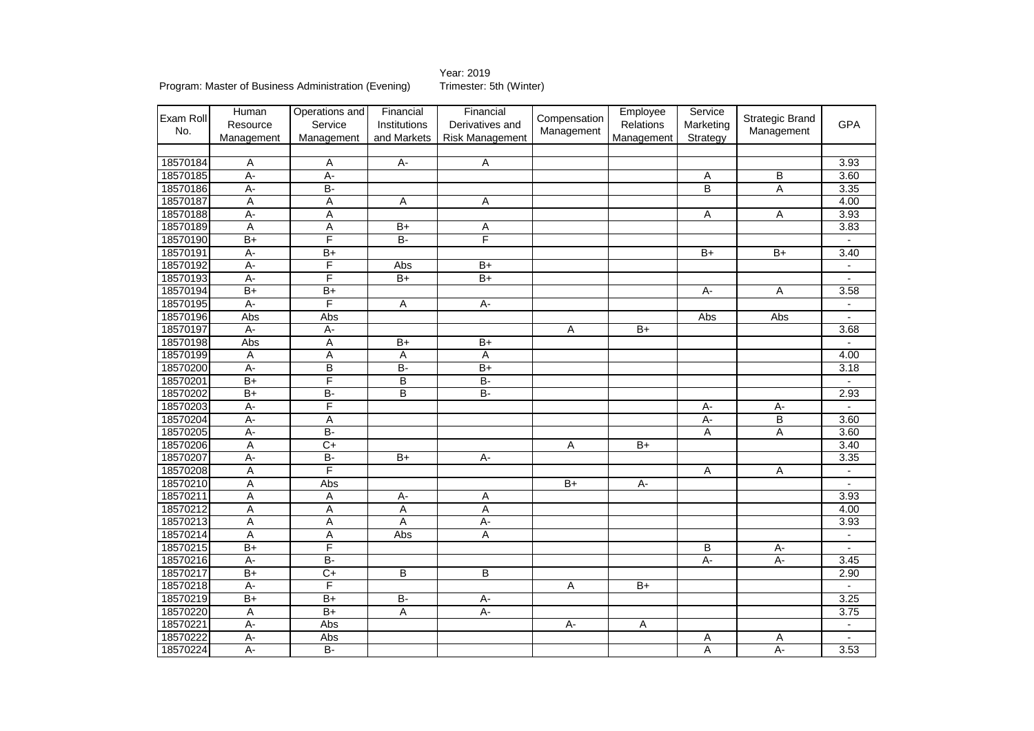Year: 2019<br>Trimester: 5th (Winter)

Program: Master of Business Administration (Evening)

|           | Human            | Operations and  | Financial               | Financial       |                 | Employee   | Service          |                         |                          |
|-----------|------------------|-----------------|-------------------------|-----------------|-----------------|------------|------------------|-------------------------|--------------------------|
| Exam Roll | Resource         | Service         | Institutions            | Derivatives and | Compensation    | Relations  | Marketing        | <b>Strategic Brand</b>  | <b>GPA</b>               |
| No.       | Management       | Management      | and Markets             | Risk Management | Management      | Management | Strategy         | Management              |                          |
|           |                  |                 |                         |                 |                 |            |                  |                         |                          |
| 18570184  | A                | Α               | A-                      | A               |                 |            |                  |                         | 3.93                     |
| 18570185  | $A -$            | $A -$           |                         |                 |                 |            | Α                | B                       | 3.60                     |
| 18570186  | $A -$            | $\overline{B}$  |                         |                 |                 |            | B                | Α                       | 3.35                     |
| 18570187  | Α                | Α               | Α                       | Α               |                 |            |                  |                         | 4.00                     |
| 18570188  | $\overline{A}$ - | Α               |                         |                 |                 |            | Α                | Α                       | 3.93                     |
| 18570189  | $\overline{A}$   | Ā               | $B+$                    | Α               |                 |            |                  |                         | 3.83                     |
| 18570190  | $\overline{B+}$  | F               | $B -$                   | F               |                 |            |                  |                         |                          |
| 18570191  | A-               | $B+$            |                         |                 |                 |            | B+               | $B+$                    | 3.40                     |
| 18570192  | $A -$            | F               | Abs                     | $B+$            |                 |            |                  |                         | $\overline{\phantom{a}}$ |
| 18570193  | $A -$            | F               | $B+$                    | $\overline{B+}$ |                 |            |                  |                         |                          |
| 18570194  | $\overline{B+}$  | $\overline{B+}$ |                         |                 |                 |            | $A -$            | A                       | 3.58                     |
| 18570195  | $A -$            | F               | Α                       | $A -$           |                 |            |                  |                         |                          |
| 18570196  | Abs              | Abs             |                         |                 |                 |            | Abs              | Abs                     | $\blacksquare$           |
| 18570197  | $A -$            | $A -$           |                         |                 | Α               | $B+$       |                  |                         | 3.68                     |
| 18570198  | Abs              | Α               | $B+$                    | $\overline{B+}$ |                 |            |                  |                         |                          |
| 18570199  | Α                | Α               | Α                       | Α               |                 |            |                  |                         | 4.00                     |
| 18570200  | $A -$            | B               | $\overline{B}$          | $\overline{B+}$ |                 |            |                  |                         | 3.18                     |
| 18570201  | $\overline{B+}$  | F               | $\overline{\mathsf{B}}$ | B-              |                 |            |                  |                         | $\overline{a}$           |
| 18570202  | B+               | $B-$            | B                       | B-              |                 |            |                  |                         | 2.93                     |
| 18570203  | $A -$            | F               |                         |                 |                 |            | А-               | А-                      |                          |
| 18570204  | $A -$            | Α               |                         |                 |                 |            | A-               | $\overline{\mathsf{B}}$ | 3.60                     |
| 18570205  | $A -$            | $B -$           |                         |                 |                 |            | А                | Ā                       | 3.60                     |
| 18570206  | $\overline{A}$   | $\overline{C+}$ |                         |                 | $\overline{A}$  | $B+$       |                  |                         | 3.40                     |
| 18570207  | $A -$            | $B -$           | $B+$                    | A-              |                 |            |                  |                         | 3.35                     |
| 18570208  | $\overline{A}$   | F               |                         |                 |                 |            | Α                | Α                       |                          |
| 18570210  | A                | Abs             |                         |                 | $\overline{B+}$ | A-         |                  |                         | $\sim$                   |
| 18570211  | Ā                | Α               | А-                      | Α               |                 |            |                  |                         | 3.93                     |
| 18570212  | $\overline{A}$   | Ā               | $\overline{A}$          | $\overline{A}$  |                 |            |                  |                         | 4.00                     |
| 18570213  | $\overline{A}$   | Ā               | $\overline{A}$          | $A -$           |                 |            |                  |                         | 3.93                     |
| 18570214  | Α                | $\overline{A}$  | Abs                     | $\overline{A}$  |                 |            |                  |                         | $\blacksquare$           |
| 18570215  | $\overline{B+}$  | F               |                         |                 |                 |            | В                | А-                      |                          |
| 18570216  | $A -$            | B-              |                         |                 |                 |            | $\overline{A}$ - | $A -$                   | 3.45                     |
| 18570217  | $\overline{B+}$  | $\overline{C}$  | B                       | B               |                 |            |                  |                         | 2.90                     |
| 18570218  | A-               | F               |                         |                 | Α               | $B+$       |                  |                         |                          |
| 18570219  | $B+$             | $B+$            | B-                      | $A -$           |                 |            |                  |                         | 3.25                     |
| 18570220  | $\overline{A}$   | $\overline{B+}$ | Α                       | $A -$           |                 |            |                  |                         | 3.75                     |
| 18570221  | $A -$            | Abs             |                         |                 | $A -$           | Α          |                  |                         | $\blacksquare$           |
| 18570222  | $\overline{A}$ - | Abs             |                         |                 |                 |            | Α                | Α                       |                          |
| 18570224  | A-               | $B -$           |                         |                 |                 |            | Ā                | $A -$                   | 3.53                     |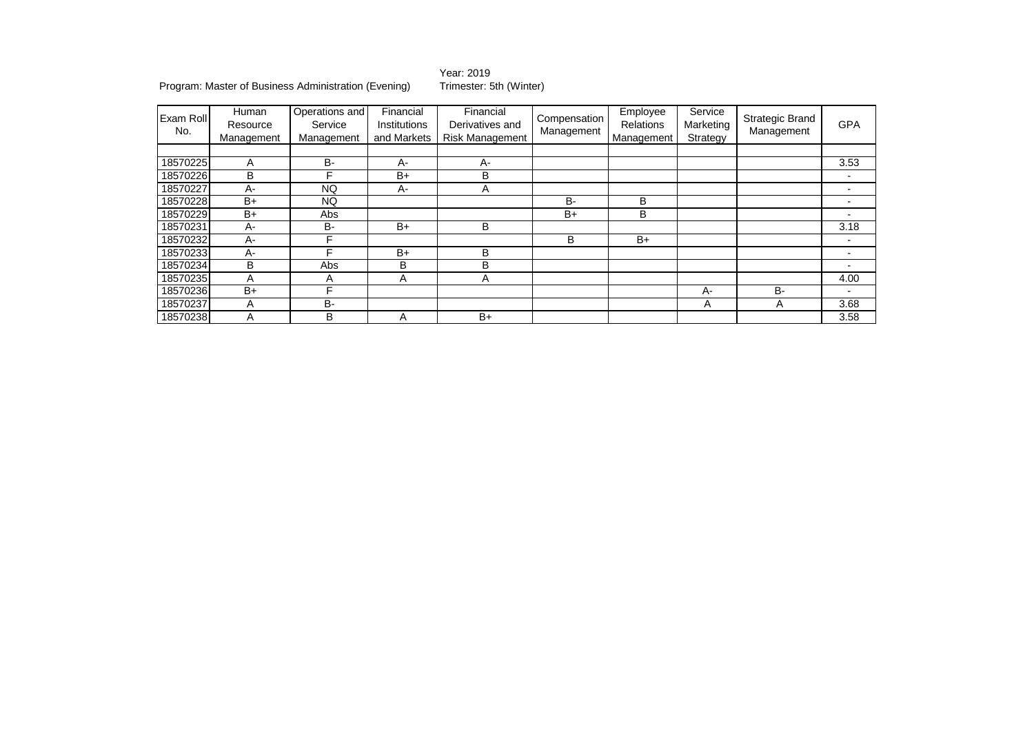Year: 2019<br>Trimester: 5th (Winter)

Program: Master of Business Administration (Evening)

| <b>Exam Roll</b><br>No. | Human<br>Resource<br>Management | Operations and<br>Service<br>Management | Financial<br>Institutions<br>and Markets | Financial<br>Derivatives and<br>Risk Management | Compensation<br>Management | Employee<br><b>Relations</b><br>Management | Service<br>Marketing<br>Strategy | Strategic Brand<br>Management | <b>GPA</b> |
|-------------------------|---------------------------------|-----------------------------------------|------------------------------------------|-------------------------------------------------|----------------------------|--------------------------------------------|----------------------------------|-------------------------------|------------|
|                         |                                 |                                         |                                          |                                                 |                            |                                            |                                  |                               |            |
| 18570225                | A                               | <b>B-</b>                               | A-                                       | А-                                              |                            |                                            |                                  |                               | 3.53       |
| 18570226                | B                               | F                                       | $B+$                                     | В                                               |                            |                                            |                                  |                               |            |
| 18570227                | A-                              | NQ.                                     | A-                                       | Α                                               |                            |                                            |                                  |                               |            |
| 18570228                | $B+$                            | NQ.                                     |                                          |                                                 | <b>B-</b>                  | B                                          |                                  |                               |            |
| 18570229                | $B+$                            | Abs                                     |                                          |                                                 | $B+$                       | B                                          |                                  |                               |            |
| 18570231                | A-                              | B-                                      | $B+$                                     | B                                               |                            |                                            |                                  |                               | 3.18       |
| 18570232                | A-                              |                                         |                                          |                                                 | В                          | $B+$                                       |                                  |                               |            |
| 18570233                | A-                              | F                                       | $B+$                                     | В                                               |                            |                                            |                                  |                               |            |
| 18570234                | B                               | Abs                                     | В                                        | В                                               |                            |                                            |                                  |                               |            |
| 18570235                | A                               | Α                                       | A                                        | Α                                               |                            |                                            |                                  |                               | 4.00       |
| 18570236                | $B+$                            | F                                       |                                          |                                                 |                            |                                            | А-                               | B-                            |            |
| 18570237                | A                               | <b>B-</b>                               |                                          |                                                 |                            |                                            | A                                | A                             | 3.68       |
| 18570238                | A                               | В                                       | А                                        | $B+$                                            |                            |                                            |                                  |                               | 3.58       |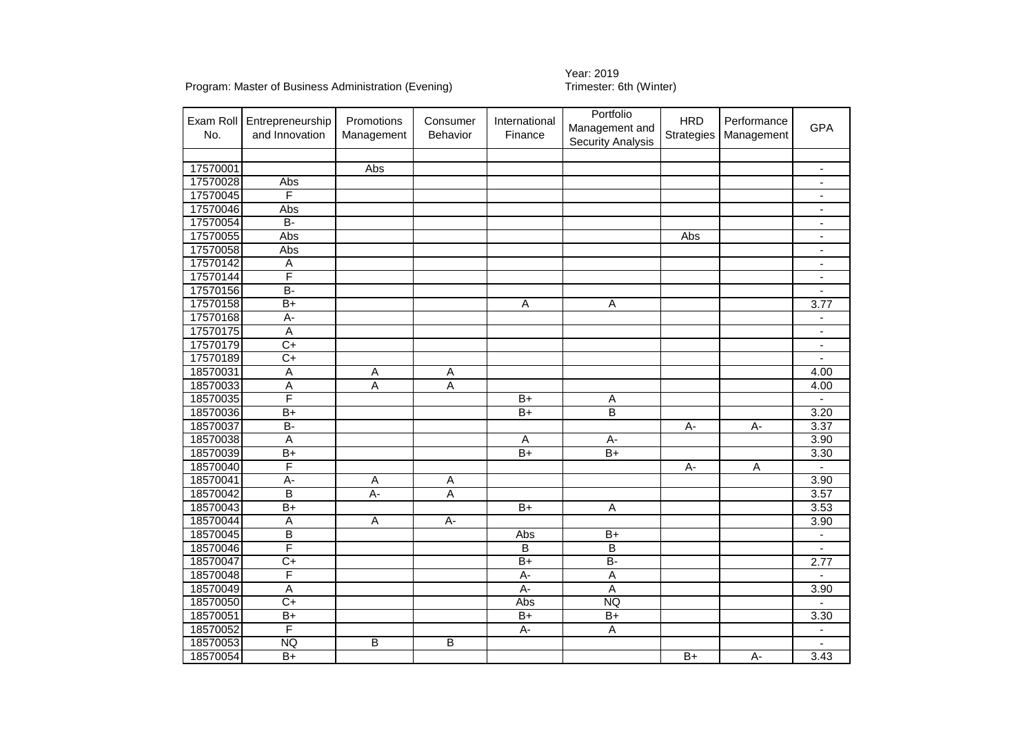## Year: 2019<br>Trimester: 6th (Winter)

| No.      | Exam Roll   Entrepreneurship<br>and Innovation | Promotions<br>Management | Consumer<br>Behavior | International<br>Finance | Portfolio<br>Management and<br><b>Security Analysis</b> | <b>HRD</b><br><b>Strategies</b> | Performance<br>Management | <b>GPA</b>               |
|----------|------------------------------------------------|--------------------------|----------------------|--------------------------|---------------------------------------------------------|---------------------------------|---------------------------|--------------------------|
|          |                                                |                          |                      |                          |                                                         |                                 |                           |                          |
| 17570001 |                                                | Abs                      |                      |                          |                                                         |                                 |                           | $\blacksquare$           |
| 17570028 | Abs                                            |                          |                      |                          |                                                         |                                 |                           | $\overline{\phantom{a}}$ |
| 17570045 | F                                              |                          |                      |                          |                                                         |                                 |                           |                          |
| 17570046 | Abs                                            |                          |                      |                          |                                                         |                                 |                           | $\blacksquare$           |
| 17570054 | $B -$                                          |                          |                      |                          |                                                         |                                 |                           | $\blacksquare$           |
| 17570055 | Abs                                            |                          |                      |                          |                                                         | Abs                             |                           | $\overline{\phantom{a}}$ |
| 17570058 | Abs                                            |                          |                      |                          |                                                         |                                 |                           | $\overline{\phantom{a}}$ |
| 17570142 | $\overline{A}$                                 |                          |                      |                          |                                                         |                                 |                           | $\overline{\phantom{a}}$ |
| 17570144 | F                                              |                          |                      |                          |                                                         |                                 |                           | ä,                       |
| 17570156 | $\overline{B}$                                 |                          |                      |                          |                                                         |                                 |                           | $\overline{\phantom{a}}$ |
| 17570158 | $B+$                                           |                          |                      | $\overline{A}$           | A                                                       |                                 |                           | 3.77                     |
| 17570168 | $A -$                                          |                          |                      |                          |                                                         |                                 |                           |                          |
| 17570175 | $\overline{A}$                                 |                          |                      |                          |                                                         |                                 |                           | $\overline{\phantom{a}}$ |
| 17570179 | $\overline{C+}$                                |                          |                      |                          |                                                         |                                 |                           | $\blacksquare$           |
| 17570189 | $\overline{C+}$                                |                          |                      |                          |                                                         |                                 |                           |                          |
| 18570031 | $\overline{A}$                                 | Α                        | A                    |                          |                                                         |                                 |                           | 4.00                     |
| 18570033 | $\overline{A}$                                 | Α                        | А                    |                          |                                                         |                                 |                           | 4.00                     |
| 18570035 | F                                              |                          |                      | $B+$                     | A                                                       |                                 |                           |                          |
| 18570036 | $B+$                                           |                          |                      | $B+$                     | $\overline{B}$                                          |                                 |                           | 3.20                     |
| 18570037 | $\overline{B}$ -                               |                          |                      |                          |                                                         | A-                              | A-                        | 3.37                     |
| 18570038 | $\overline{A}$                                 |                          |                      | $\overline{A}$           | $\overline{A}$ -                                        |                                 |                           | 3.90                     |
| 18570039 | $B+$                                           |                          |                      | $\overline{B+}$          | $B+$                                                    |                                 |                           | 3.30                     |
| 18570040 | F                                              |                          |                      |                          |                                                         | A-                              | A                         | $\blacksquare$           |
| 18570041 | $\overline{A}$ -                               | Α                        | Α                    |                          |                                                         |                                 |                           | 3.90                     |
| 18570042 | $\overline{\mathsf{B}}$                        | $A -$                    | Α                    |                          |                                                         |                                 |                           | 3.57                     |
| 18570043 | $B+$                                           |                          |                      | $B+$                     | $\overline{A}$                                          |                                 |                           | 3.53                     |
| 18570044 | $\overline{A}$                                 | $\overline{A}$           | $\overline{A}$ -     |                          |                                                         |                                 |                           | 3.90                     |
| 18570045 | $\overline{\mathsf{B}}$                        |                          |                      | Abs                      | $B+$                                                    |                                 |                           | $\blacksquare$           |
| 18570046 | F                                              |                          |                      | $\overline{B}$           | B                                                       |                                 |                           | $\blacksquare$           |
| 18570047 | $\overline{C+}$                                |                          |                      | $B+$                     | $\overline{B}$                                          |                                 |                           | 2.77                     |
| 18570048 | F                                              |                          |                      | A-                       | $\overline{A}$                                          |                                 |                           |                          |
| 18570049 | $\overline{A}$                                 |                          |                      | $A -$                    | $\overline{A}$                                          |                                 |                           | 3.90                     |
| 18570050 | $\overline{C+}$                                |                          |                      | Abs                      | <b>NQ</b>                                               |                                 |                           |                          |
| 18570051 | $B+$                                           |                          |                      | $B+$                     | $B+$                                                    |                                 |                           | 3.30                     |
| 18570052 | F                                              |                          |                      | A-                       | A                                                       |                                 |                           | $\overline{\phantom{a}}$ |
| 18570053 | <b>NQ</b>                                      | B                        | B                    |                          |                                                         |                                 |                           |                          |
| 18570054 | $B+$                                           |                          |                      |                          |                                                         | $B+$                            | $A -$                     | 3.43                     |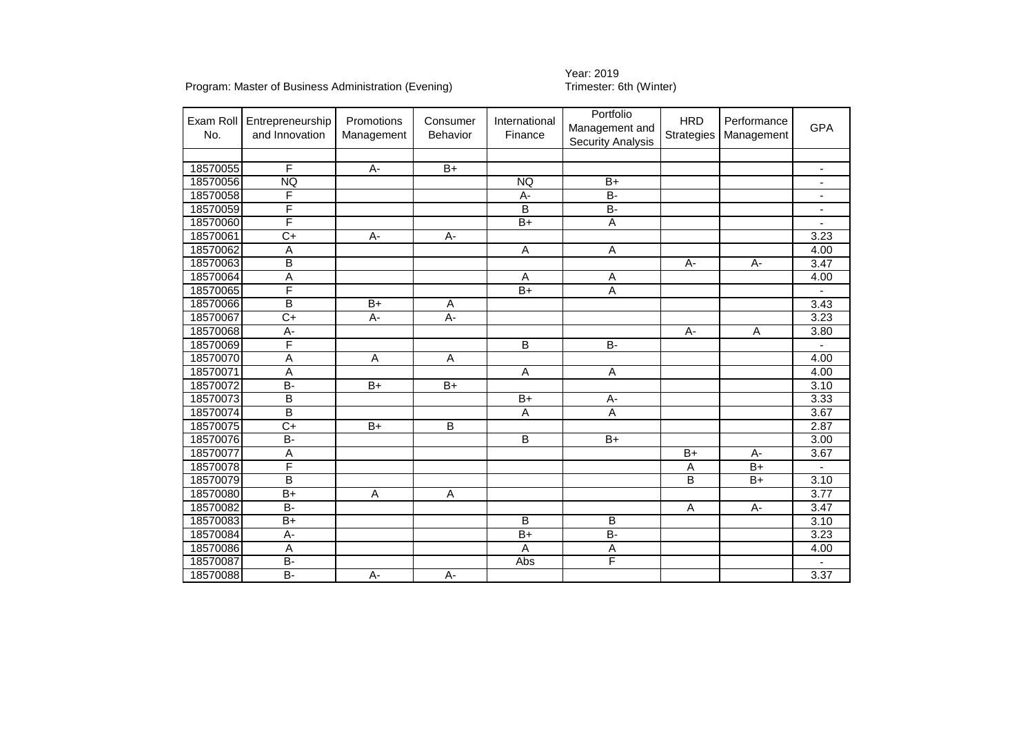# Year: 2019<br>Trimester: 6th (Winter)

| Exam Roll<br>No. | Entrepreneurship<br>and Innovation | Promotions<br>Management | Consumer<br><b>Behavior</b> | International<br>Finance | Portfolio<br>Management and<br><b>Security Analysis</b> | <b>HRD</b><br><b>Strategies</b> | Performance<br>Management | <b>GPA</b>               |
|------------------|------------------------------------|--------------------------|-----------------------------|--------------------------|---------------------------------------------------------|---------------------------------|---------------------------|--------------------------|
|                  |                                    |                          |                             |                          |                                                         |                                 |                           |                          |
| 18570055         | F                                  | $A -$                    | $B+$                        |                          |                                                         |                                 |                           |                          |
| 18570056         | <b>NQ</b>                          |                          |                             | <b>NQ</b>                | $B+$                                                    |                                 |                           |                          |
| 18570058         | F                                  |                          |                             | A-                       | $\overline{B}$                                          |                                 |                           |                          |
| 18570059         | F                                  |                          |                             | B                        | $B -$                                                   |                                 |                           |                          |
| 18570060         | F                                  |                          |                             | $B+$                     | $\overline{A}$                                          |                                 |                           | $\overline{\phantom{a}}$ |
| 18570061         | $\overline{C+}$                    | A-                       | A-                          |                          |                                                         |                                 |                           | 3.23                     |
| 18570062         | $\overline{A}$                     |                          |                             | $\overline{A}$           | $\overline{A}$                                          |                                 |                           | 4.00                     |
| 18570063         | B                                  |                          |                             |                          |                                                         | A-                              | $\overline{A}$ -          | 3.47                     |
| 18570064         | $\overline{\mathsf{A}}$            |                          |                             | A                        | Α                                                       |                                 |                           | 4.00                     |
| 18570065         | F                                  |                          |                             | $B+$                     | Ā                                                       |                                 |                           |                          |
| 18570066         | $\overline{\mathsf{B}}$            | $B+$                     | A                           |                          |                                                         |                                 |                           | 3.43                     |
| 18570067         | $\overline{C+}$                    | $A -$                    | $A -$                       |                          |                                                         |                                 |                           | 3.23                     |
| 18570068         | А-                                 |                          |                             |                          |                                                         | А-                              | Α                         | 3.80                     |
| 18570069         | F                                  |                          |                             | B                        | $B -$                                                   |                                 |                           |                          |
| 18570070         | Α                                  | $\overline{A}$           | $\overline{A}$              |                          |                                                         |                                 |                           | 4.00                     |
| 18570071         | $\overline{A}$                     |                          |                             | A                        | A                                                       |                                 |                           | 4.00                     |
| 18570072         | $B -$                              | $B+$                     | $B+$                        |                          |                                                         |                                 |                           | 3.10                     |
| 18570073         | $\overline{\mathsf{B}}$            |                          |                             | $B+$                     | $A -$                                                   |                                 |                           | 3.33                     |
| 18570074         | $\overline{\mathsf{B}}$            |                          |                             | A                        | $\overline{A}$                                          |                                 |                           | 3.67                     |
| 18570075         | $\overline{C+}$                    | $B+$                     | $\overline{B}$              |                          |                                                         |                                 |                           | 2.87                     |
| 18570076         | $\overline{B}$                     |                          |                             | B                        | $B+$                                                    |                                 |                           | 3.00                     |
| 18570077         | $\overline{A}$                     |                          |                             |                          |                                                         | $B+$                            | $A -$                     | 3.67                     |
| 18570078         | F                                  |                          |                             |                          |                                                         | Α                               | $B+$                      | $\mathbf{r}$             |
| 18570079         | B                                  |                          |                             |                          |                                                         | B                               | $B+$                      | 3.10                     |
| 18570080         | $B+$                               | A                        | A                           |                          |                                                         |                                 |                           | 3.77                     |
| 18570082         | $B -$                              |                          |                             |                          |                                                         | Α                               | A-                        | 3.47                     |
| 18570083         | $\overline{B+}$                    |                          |                             | $\overline{B}$           | B                                                       |                                 |                           | 3.10                     |
| 18570084         | A-                                 |                          |                             | $B+$                     | $\overline{B}$                                          |                                 |                           | 3.23                     |
| 18570086         | $\overline{A}$                     |                          |                             | $\overline{A}$           | $\overline{A}$                                          |                                 |                           | 4.00                     |
| 18570087         | B-                                 |                          |                             | Abs                      | F                                                       |                                 |                           |                          |
| 18570088         | $\overline{B}$                     | $A -$                    | $A -$                       |                          |                                                         |                                 |                           | 3.37                     |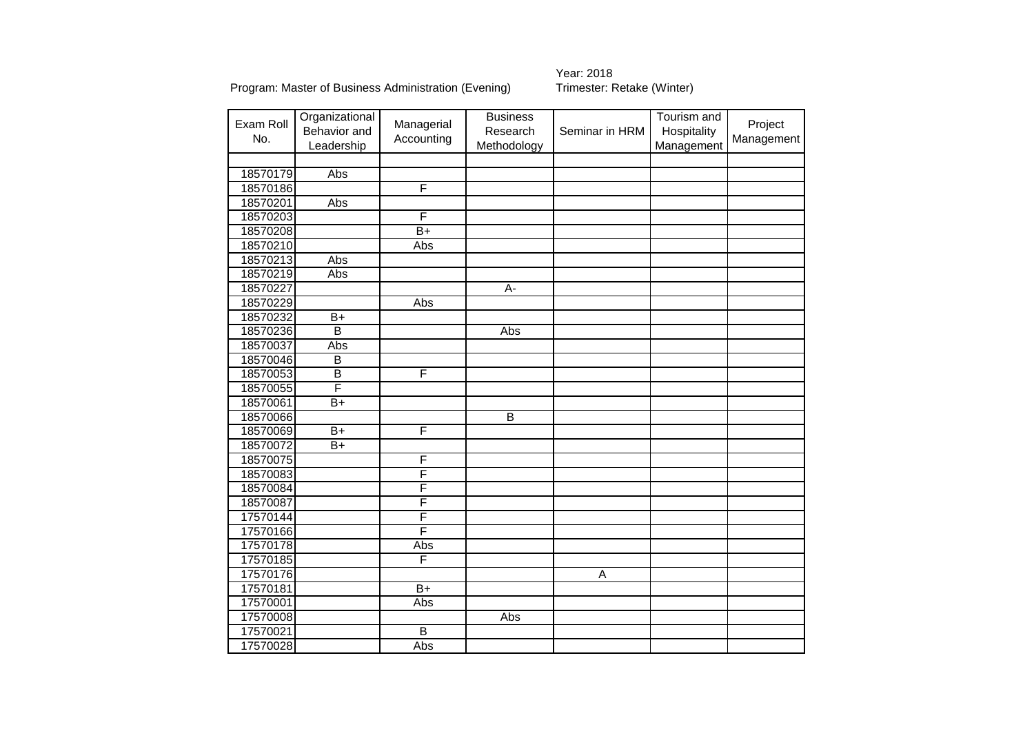# Year: 2018<br>Trimester: Retake (Winter)

| Exam Roll<br>No. | Organizational<br>Behavior and<br>Leadership | Managerial<br>Accounting | <b>Business</b><br>Research<br>Methodology | Seminar in HRM | Tourism and<br>Hospitality<br>Management | Project<br>Management |
|------------------|----------------------------------------------|--------------------------|--------------------------------------------|----------------|------------------------------------------|-----------------------|
|                  |                                              |                          |                                            |                |                                          |                       |
| 18570179         | Abs                                          |                          |                                            |                |                                          |                       |
| 18570186         |                                              | F                        |                                            |                |                                          |                       |
| 18570201         | Abs                                          |                          |                                            |                |                                          |                       |
| 18570203         |                                              | F                        |                                            |                |                                          |                       |
| 18570208         |                                              | $\overline{B+}$          |                                            |                |                                          |                       |
| 18570210         |                                              | Abs                      |                                            |                |                                          |                       |
| 18570213         | Abs                                          |                          |                                            |                |                                          |                       |
| 18570219         | Abs                                          |                          |                                            |                |                                          |                       |
| 18570227         |                                              |                          | $\overline{A}$                             |                |                                          |                       |
| 18570229         |                                              | Abs                      |                                            |                |                                          |                       |
| 18570232         | $\overline{B+}$                              |                          |                                            |                |                                          |                       |
| 18570236         | $\overline{\mathsf{B}}$                      |                          | Abs                                        |                |                                          |                       |
| 18570037         | Abs                                          |                          |                                            |                |                                          |                       |
| 18570046         | $\overline{B}$                               |                          |                                            |                |                                          |                       |
| 18570053         | $\overline{\mathsf{B}}$                      | F                        |                                            |                |                                          |                       |
| 18570055         | F                                            |                          |                                            |                |                                          |                       |
| 18570061         | $\overline{B+}$                              |                          |                                            |                |                                          |                       |
| 18570066         |                                              |                          | $\overline{B}$                             |                |                                          |                       |
| 18570069         | $\overline{B+}$                              | F                        |                                            |                |                                          |                       |
| 18570072         | $\overline{B+}$                              |                          |                                            |                |                                          |                       |
| 18570075         |                                              | F                        |                                            |                |                                          |                       |
| 18570083         |                                              | F                        |                                            |                |                                          |                       |
| 18570084         |                                              | F                        |                                            |                |                                          |                       |
| 18570087         |                                              | $\overline{\mathsf{F}}$  |                                            |                |                                          |                       |
| 17570144         |                                              | F                        |                                            |                |                                          |                       |
| 17570166         |                                              | F                        |                                            |                |                                          |                       |
| 17570178         |                                              | Abs                      |                                            |                |                                          |                       |
| 17570185         |                                              | F                        |                                            |                |                                          |                       |
| 17570176         |                                              |                          |                                            | Α              |                                          |                       |
| 17570181         |                                              | $\overline{B+}$          |                                            |                |                                          |                       |
| 17570001         |                                              | Abs                      |                                            |                |                                          |                       |
| 17570008         |                                              |                          | Abs                                        |                |                                          |                       |
| 17570021         |                                              | $\overline{\mathsf{B}}$  |                                            |                |                                          |                       |
| 17570028         |                                              | Abs                      |                                            |                |                                          |                       |